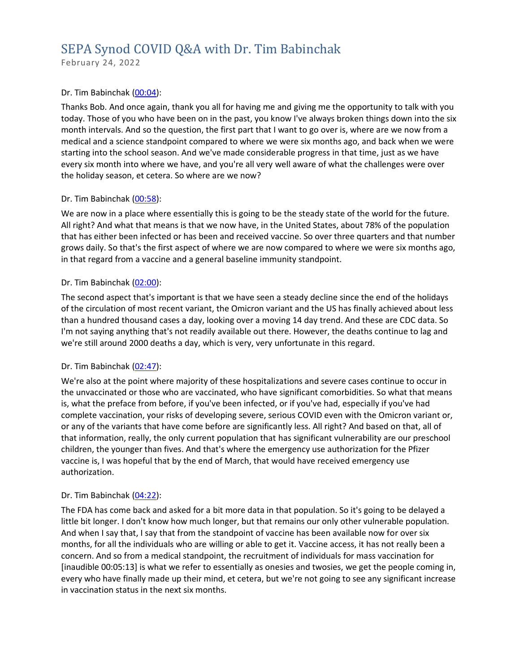# SEPA Synod COVID Q&A with Dr. Tim Babinchak

February 24, 2022

## Dr. Tim Babinchak [\(00:04\)](https://www.rev.com/transcript-editor/Edit?token=Hr1FwOgxwuDZek8w03js2eMMwFMSF9g8xIXA8H3Z6Y2dozwIJWafF_kO7r7K0bjaQXPL6WIjN2tzE2-HBoUxjSMBzn4&loadFrom=DocumentDeeplink&ts=4.52):

Thanks Bob. And once again, thank you all for having me and giving me the opportunity to talk with you today. Those of you who have been on in the past, you know I've always broken things down into the six month intervals. And so the question, the first part that I want to go over is, where are we now from a medical and a science standpoint compared to where we were six months ago, and back when we were starting into the school season. And we've made considerable progress in that time, just as we have every six month into where we have, and you're all very well aware of what the challenges were over the holiday season, et cetera. So where are we now?

## Dr. Tim Babinchak [\(00:58\)](https://www.rev.com/transcript-editor/Edit?token=jgtz9CNAioqN00RmaMH9LHcwducXgUmq3M6b1yDcGaphsKnIlDfTIsm9_tttHAD0vIyNcvjcmKpu-2AWy1kO6qSvOzI&loadFrom=DocumentDeeplink&ts=58.77):

We are now in a place where essentially this is going to be the steady state of the world for the future. All right? And what that means is that we now have, in the United States, about 78% of the population that has either been infected or has been and received vaccine. So over three quarters and that number grows daily. So that's the first aspect of where we are now compared to where we were six months ago, in that regard from a vaccine and a general baseline immunity standpoint.

## Dr. Tim Babinchak [\(02:00\)](https://www.rev.com/transcript-editor/Edit?token=cTxW6PAFrphy_JvP1rSgaAO2SOCWfMJb9vVPq4SA8gHP87-EgVKKykqvzCvHfr_FBV7nF4-5BbO48HeUMECigeHk9-Y&loadFrom=DocumentDeeplink&ts=120.44):

The second aspect that's important is that we have seen a steady decline since the end of the holidays of the circulation of most recent variant, the Omicron variant and the US has finally achieved about less than a hundred thousand cases a day, looking over a moving 14 day trend. And these are CDC data. So I'm not saying anything that's not readily available out there. However, the deaths continue to lag and we're still around 2000 deaths a day, which is very, very unfortunate in this regard.

# Dr. Tim Babinchak [\(02:47\)](https://www.rev.com/transcript-editor/Edit?token=mvEkwdMJSSANO_zkNoxB09lhMACX7-L9lVvRQbaGNNBCexOncIP4v3xJoUI2_UL36AZ7cABFj0nkhmJOoarDINOuZ4I&loadFrom=DocumentDeeplink&ts=167.21):

We're also at the point where majority of these hospitalizations and severe cases continue to occur in the unvaccinated or those who are vaccinated, who have significant comorbidities. So what that means is, what the preface from before, if you've been infected, or if you've had, especially if you've had complete vaccination, your risks of developing severe, serious COVID even with the Omicron variant or, or any of the variants that have come before are significantly less. All right? And based on that, all of that information, really, the only current population that has significant vulnerability are our preschool children, the younger than fives. And that's where the emergency use authorization for the Pfizer vaccine is, I was hopeful that by the end of March, that would have received emergency use authorization.

# Dr. Tim Babinchak [\(04:22\)](https://www.rev.com/transcript-editor/Edit?token=Sqmb17_MS48XiHJ5gzD7nWUC9w_1Wcsm5peCneT-DuW9ntCZpF0QPO9etEJEfobipu2KM-IYMLXmXR7L_EQ2Dp7hSJc&loadFrom=DocumentDeeplink&ts=262.27):

The FDA has come back and asked for a bit more data in that population. So it's going to be delayed a little bit longer. I don't know how much longer, but that remains our only other vulnerable population. And when I say that, I say that from the standpoint of vaccine has been available now for over six months, for all the individuals who are willing or able to get it. Vaccine access, it has not really been a concern. And so from a medical standpoint, the recruitment of individuals for mass vaccination for [inaudible 00:05:13] is what we refer to essentially as onesies and twosies, we get the people coming in, every who have finally made up their mind, et cetera, but we're not going to see any significant increase in vaccination status in the next six months.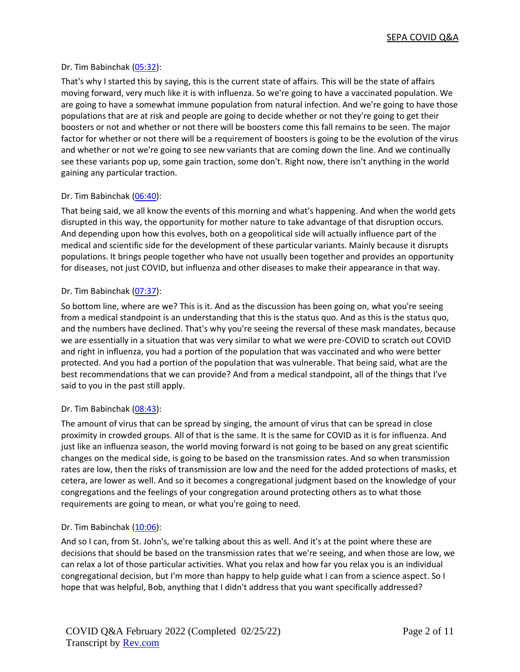# Dr. Tim Babinchak [\(05:32\)](https://www.rev.com/transcript-editor/Edit?token=Q3WYBAsuMKmZkP9UtJORTAW2AxGcbJhSSXW3y86Vjf0-bGzSTrSfr4ghB6ZQJFo9_2y7Zxc8-yyumAu-eWmu2uuSTg4&loadFrom=DocumentDeeplink&ts=332.06):

That's why I started this by saying, this is the current state of affairs. This will be the state of affairs moving forward, very much like it is with influenza. So we're going to have a vaccinated population. We are going to have a somewhat immune population from natural infection. And we're going to have those populations that are at risk and people are going to decide whether or not they're going to get their boosters or not and whether or not there will be boosters come this fall remains to be seen. The major factor for whether or not there will be a requirement of boosters is going to be the evolution of the virus and whether or not we're going to see new variants that are coming down the line. And we continually see these variants pop up, some gain traction, some don't. Right now, there isn't anything in the world gaining any particular traction.

# Dr. Tim Babinchak [\(06:40\)](https://www.rev.com/transcript-editor/Edit?token=p6pFNhiETBFqXH7TBYFc2mORIaJjLk4joEfJ8u5Bhaz1Rpo5zv2HXbR3tCMfOqAXT82Trho-BwhlgP-PzUtrM7EDXw8&loadFrom=DocumentDeeplink&ts=400.83):

That being said, we all know the events of this morning and what's happening. And when the world gets disrupted in this way, the opportunity for mother nature to take advantage of that disruption occurs. And depending upon how this evolves, both on a geopolitical side will actually influence part of the medical and scientific side for the development of these particular variants. Mainly because it disrupts populations. It brings people together who have not usually been together and provides an opportunity for diseases, not just COVID, but influenza and other diseases to make their appearance in that way.

# Dr. Tim Babinchak [\(07:37\)](https://www.rev.com/transcript-editor/Edit?token=UFONdbjYIuajEXYcWoA4ffgi3-i6uezlLlDGcbhEeewTeq1ZzyBSzZVzWrTNbUoeA0pUIenyIZa0zBX9YjdIttgGGtM&loadFrom=DocumentDeeplink&ts=457.84):

So bottom line, where are we? This is it. And as the discussion has been going on, what you're seeing from a medical standpoint is an understanding that this is the status quo. And as this is the status quo, and the numbers have declined. That's why you're seeing the reversal of these mask mandates, because we are essentially in a situation that was very similar to what we were pre-COVID to scratch out COVID and right in influenza, you had a portion of the population that was vaccinated and who were better protected. And you had a portion of the population that was vulnerable. That being said, what are the best recommendations that we can provide? And from a medical standpoint, all of the things that I've said to you in the past still apply.

# Dr. Tim Babinchak [\(08:43\)](https://www.rev.com/transcript-editor/Edit?token=b5AwvNQiLznYH_WQlTeV6ZOA91X6ZuntJF5VVDVrdPZ8guL12cF--ei_eCgx_lMAUrlryRu3Z2kC1Jd9Zb7AoAgyGuU&loadFrom=DocumentDeeplink&ts=523.25):

The amount of virus that can be spread by singing, the amount of virus that can be spread in close proximity in crowded groups. All of that is the same. It is the same for COVID as it is for influenza. And just like an influenza season, the world moving forward is not going to be based on any great scientific changes on the medical side, is going to be based on the transmission rates. And so when transmission rates are low, then the risks of transmission are low and the need for the added protections of masks, et cetera, are lower as well. And so it becomes a congregational judgment based on the knowledge of your congregations and the feelings of your congregation around protecting others as to what those requirements are going to mean, or what you're going to need.

# Dr. Tim Babinchak [\(10:06\)](https://www.rev.com/transcript-editor/Edit?token=epPSEALHuLDgneMv_oY14sBBwp8STBVeN-peWNCFMcvJ8MwTR63MCJuzUMdsZU1LDKU5gwE9hua4wLVIB3MD3fS9GNQ&loadFrom=DocumentDeeplink&ts=606.79):

And so I can, from St. John's, we're talking about this as well. And it's at the point where these are decisions that should be based on the transmission rates that we're seeing, and when those are low, we can relax a lot of those particular activities. What you relax and how far you relax you is an individual congregational decision, but I'm more than happy to help guide what I can from a science aspect. So I hope that was helpful, Bob, anything that I didn't address that you want specifically addressed?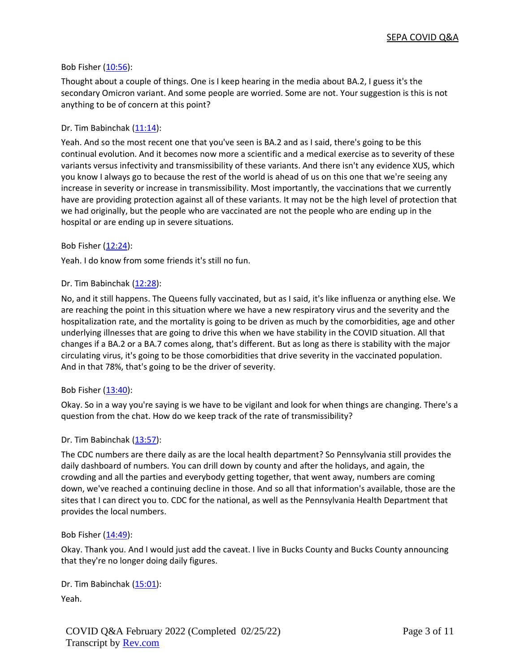## Bob Fisher [\(10:56\)](https://www.rev.com/transcript-editor/Edit?token=9WQIbzs7U5pwJeWg7rs-OV9iyvA2r3ufv8S7P8X-Y9oV4yt7W_Wxs5dVtIV59Xmo4nGK-UlLwRnWxlrHKQo_5NCP8uE&loadFrom=DocumentDeeplink&ts=656.94):

Thought about a couple of things. One is I keep hearing in the media about BA.2, I guess it's the secondary Omicron variant. And some people are worried. Some are not. Your suggestion is this is not anything to be of concern at this point?

## Dr. Tim Babinchak [\(11:14\)](https://www.rev.com/transcript-editor/Edit?token=gGs4gpLG9nxzYaobyg9jLST0MqPkyLUMZvB_8HMfM9Huq4zDKAoEPkb7_09ZS2HVZjf6ax_he0KaTf3Mm1716VP2EaE&loadFrom=DocumentDeeplink&ts=674.18):

Yeah. And so the most recent one that you've seen is BA.2 and as I said, there's going to be this continual evolution. And it becomes now more a scientific and a medical exercise as to severity of these variants versus infectivity and transmissibility of these variants. And there isn't any evidence XUS, which you know I always go to because the rest of the world is ahead of us on this one that we're seeing any increase in severity or increase in transmissibility. Most importantly, the vaccinations that we currently have are providing protection against all of these variants. It may not be the high level of protection that we had originally, but the people who are vaccinated are not the people who are ending up in the hospital or are ending up in severe situations.

#### Bob Fisher [\(12:24\)](https://www.rev.com/transcript-editor/Edit?token=teyeb12B0VS07a3AJUbcCmh2XXqBcBWhNZ-jrfZInB56_5fFDXYUASzODHVadKCTIp6ZAfxVcg6c9bQwurc_V700m-E&loadFrom=DocumentDeeplink&ts=744.33):

Yeah. I do know from some friends it's still no fun.

## Dr. Tim Babinchak [\(12:28\)](https://www.rev.com/transcript-editor/Edit?token=aGyHZXy6xLMPeERJNqERTdNuwAaDekzhsYe4L1coSVl-KyEyeW49Bh6TlVxHVG_zxfseu7CEQJ7N3wFDu7rnpp9DG3Q&loadFrom=DocumentDeeplink&ts=748.94):

No, and it still happens. The Queens fully vaccinated, but as I said, it's like influenza or anything else. We are reaching the point in this situation where we have a new respiratory virus and the severity and the hospitalization rate, and the mortality is going to be driven as much by the comorbidities, age and other underlying illnesses that are going to drive this when we have stability in the COVID situation. All that changes if a BA.2 or a BA.7 comes along, that's different. But as long as there is stability with the major circulating virus, it's going to be those comorbidities that drive severity in the vaccinated population. And in that 78%, that's going to be the driver of severity.

#### Bob Fisher [\(13:40\)](https://www.rev.com/transcript-editor/Edit?token=yy1jdy4Y_4ZLs5s6MunnM_4z2zRJHZ5gRGvYoptKD2YyYqWQkkrfQlZ5qWcrh4XiXdCtEfq-Ypg_rKTTUkArs6gynIY&loadFrom=DocumentDeeplink&ts=820.37):

Okay. So in a way you're saying is we have to be vigilant and look for when things are changing. There's a question from the chat. How do we keep track of the rate of transmissibility?

#### Dr. Tim Babinchak [\(13:57\)](https://www.rev.com/transcript-editor/Edit?token=qMQvzGkiAullt4erDJI_DwZ45slgyUrYGrd0PEIg-K4W3xjLO2CkYuIykUHvV2Lc-E717mU5sUDPRKV541O0u93B4L0&loadFrom=DocumentDeeplink&ts=837.37):

The CDC numbers are there daily as are the local health department? So Pennsylvania still provides the daily dashboard of numbers. You can drill down by county and after the holidays, and again, the crowding and all the parties and everybody getting together, that went away, numbers are coming down, we've reached a continuing decline in those. And so all that information's available, those are the sites that I can direct you to. CDC for the national, as well as the Pennsylvania Health Department that provides the local numbers.

#### Bob Fisher [\(14:49\)](https://www.rev.com/transcript-editor/Edit?token=pkYqFv6x6THdides6GrjMdDBwNFSw2HDSJRbPuDWXz7zCoVMUPo4ESq1VP6IiEJQfI5m6Je560qrBy5TpxS5P84n54w&loadFrom=DocumentDeeplink&ts=889.39):

Okay. Thank you. And I would just add the caveat. I live in Bucks County and Bucks County announcing that they're no longer doing daily figures.

Dr. Tim Babinchak [\(15:01\)](https://www.rev.com/transcript-editor/Edit?token=lLD7zHOonihFwPIMzwpLjx4iYaQn54EnD9DRhRNXAQE2zxiN3mJ83SB3OtWR_LFobCBTKYrbDX_K7b0h7rNhgYDgK_w&loadFrom=DocumentDeeplink&ts=901.07): Yeah.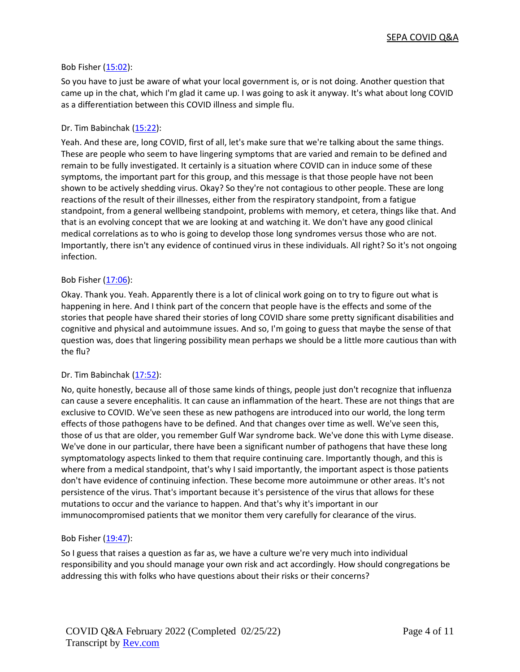# Bob Fisher [\(15:02\)](https://www.rev.com/transcript-editor/Edit?token=mBAWKHIVg4boJuP3OPtewpmSd-F38yr5Dg6tBzwzPx55XMyJHNMFYU3Wcvg1NS4y6VbmW2PPhkij40y_uyvWGwqWp3o&loadFrom=DocumentDeeplink&ts=902.18):

So you have to just be aware of what your local government is, or is not doing. Another question that came up in the chat, which I'm glad it came up. I was going to ask it anyway. It's what about long COVID as a differentiation between this COVID illness and simple flu.

## Dr. Tim Babinchak [\(15:22\)](https://www.rev.com/transcript-editor/Edit?token=ZnWyZCOlDVmnN7E6qxwC9jggn_Rv_hvuJp0XxE2OCf91dva-E-npytpTB4pgQdnsebxYEazI9LxNSFYRH0a5vutEEpk&loadFrom=DocumentDeeplink&ts=922.95):

Yeah. And these are, long COVID, first of all, let's make sure that we're talking about the same things. These are people who seem to have lingering symptoms that are varied and remain to be defined and remain to be fully investigated. It certainly is a situation where COVID can in induce some of these symptoms, the important part for this group, and this message is that those people have not been shown to be actively shedding virus. Okay? So they're not contagious to other people. These are long reactions of the result of their illnesses, either from the respiratory standpoint, from a fatigue standpoint, from a general wellbeing standpoint, problems with memory, et cetera, things like that. And that is an evolving concept that we are looking at and watching it. We don't have any good clinical medical correlations as to who is going to develop those long syndromes versus those who are not. Importantly, there isn't any evidence of continued virus in these individuals. All right? So it's not ongoing infection.

## Bob Fisher [\(17:06\)](https://www.rev.com/transcript-editor/Edit?token=zf19SYPo1v1rSlfBX6oGJ0c5zgsDi7Sxilnb5yIz5sqqeR2dpmfK1SOIfj0QHq8DI-sdyzWFufO5fXtdABPd5t6v3BM&loadFrom=DocumentDeeplink&ts=1026.53):

Okay. Thank you. Yeah. Apparently there is a lot of clinical work going on to try to figure out what is happening in here. And I think part of the concern that people have is the effects and some of the stories that people have shared their stories of long COVID share some pretty significant disabilities and cognitive and physical and autoimmune issues. And so, I'm going to guess that maybe the sense of that question was, does that lingering possibility mean perhaps we should be a little more cautious than with the flu?

# Dr. Tim Babinchak [\(17:52\)](https://www.rev.com/transcript-editor/Edit?token=JEefafQTwu5WRjeyTxXHKOo_MWT3_q0KRdf3h-vo9S1L_5S3vmqqoWPCB_UO3kip5Kdj-02pxuTNI89I3Dz4qmFv5GI&loadFrom=DocumentDeeplink&ts=1072.4):

No, quite honestly, because all of those same kinds of things, people just don't recognize that influenza can cause a severe encephalitis. It can cause an inflammation of the heart. These are not things that are exclusive to COVID. We've seen these as new pathogens are introduced into our world, the long term effects of those pathogens have to be defined. And that changes over time as well. We've seen this, those of us that are older, you remember Gulf War syndrome back. We've done this with Lyme disease. We've done in our particular, there have been a significant number of pathogens that have these long symptomatology aspects linked to them that require continuing care. Importantly though, and this is where from a medical standpoint, that's why I said importantly, the important aspect is those patients don't have evidence of continuing infection. These become more autoimmune or other areas. It's not persistence of the virus. That's important because it's persistence of the virus that allows for these mutations to occur and the variance to happen. And that's why it's important in our immunocompromised patients that we monitor them very carefully for clearance of the virus.

#### Bob Fisher [\(19:47\)](https://www.rev.com/transcript-editor/Edit?token=HVTYTFAExooV2tbhLLuIYJ7IQijDqjrFeREAQaEtyapIW3cS9CXbRz9NT8IyEP8QvOa9Kk6p2rm_sHFbnW75AvPqY-Y&loadFrom=DocumentDeeplink&ts=1187.74):

So I guess that raises a question as far as, we have a culture we're very much into individual responsibility and you should manage your own risk and act accordingly. How should congregations be addressing this with folks who have questions about their risks or their concerns?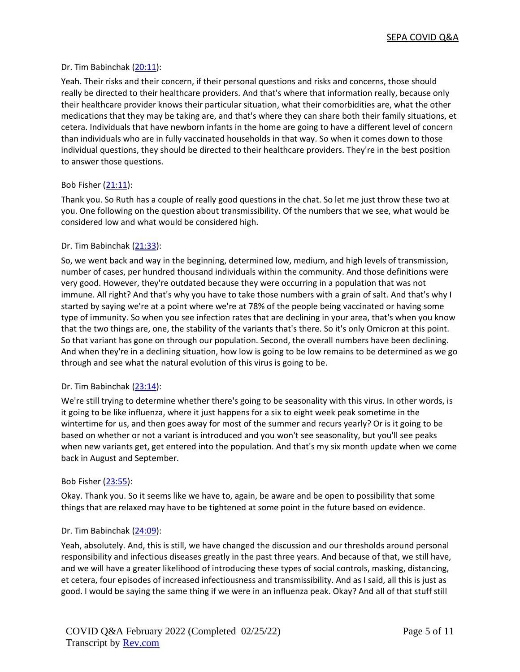## Dr. Tim Babinchak [\(20:11\)](https://www.rev.com/transcript-editor/Edit?token=5RbRqPkaX0adoHMSXgcgRZgZ5myPNSRSIqu7Bib9aJALHtnuNO7YnotdgVFwpnxhD2Cq3Txln4ekyu2leRp38knOMRs&loadFrom=DocumentDeeplink&ts=1211.29):

Yeah. Their risks and their concern, if their personal questions and risks and concerns, those should really be directed to their healthcare providers. And that's where that information really, because only their healthcare provider knows their particular situation, what their comorbidities are, what the other medications that they may be taking are, and that's where they can share both their family situations, et cetera. Individuals that have newborn infants in the home are going to have a different level of concern than individuals who are in fully vaccinated households in that way. So when it comes down to those individual questions, they should be directed to their healthcare providers. They're in the best position to answer those questions.

# Bob Fisher [\(21:11\)](https://www.rev.com/transcript-editor/Edit?token=1_LeNNuGxjfaHJM0Ag_Q7LE6mfaO6PwNfoMB82Dm76AHgnSmooch17RCnRWUAqBmGukaafnjE5t19GudDWmEpadD2wE&loadFrom=DocumentDeeplink&ts=1271.13):

Thank you. So Ruth has a couple of really good questions in the chat. So let me just throw these two at you. One following on the question about transmissibility. Of the numbers that we see, what would be considered low and what would be considered high.

## Dr. Tim Babinchak [\(21:33\)](https://www.rev.com/transcript-editor/Edit?token=SvEtFs3luxPREvr_fFEzoLPF5j8qlm2eWdYSN6rk2H5720WFh4_P6fWZPwfCm-YIwMu1VE2rhbH5XCSDz-_YtVX2AIQ&loadFrom=DocumentDeeplink&ts=1293.95):

So, we went back and way in the beginning, determined low, medium, and high levels of transmission, number of cases, per hundred thousand individuals within the community. And those definitions were very good. However, they're outdated because they were occurring in a population that was not immune. All right? And that's why you have to take those numbers with a grain of salt. And that's why I started by saying we're at a point where we're at 78% of the people being vaccinated or having some type of immunity. So when you see infection rates that are declining in your area, that's when you know that the two things are, one, the stability of the variants that's there. So it's only Omicron at this point. So that variant has gone on through our population. Second, the overall numbers have been declining. And when they're in a declining situation, how low is going to be low remains to be determined as we go through and see what the natural evolution of this virus is going to be.

#### Dr. Tim Babinchak [\(23:14\)](https://www.rev.com/transcript-editor/Edit?token=yeI8L4snToy8OM8wW2LOz7lxwLlXjxJd9rxxQoe-1mjq2Rrv52glvBmfRPFu29ykxPQHt0yjuMIz5ekylpfhqnXqH6Y&loadFrom=DocumentDeeplink&ts=1394.92):

We're still trying to determine whether there's going to be seasonality with this virus. In other words, is it going to be like influenza, where it just happens for a six to eight week peak sometime in the wintertime for us, and then goes away for most of the summer and recurs yearly? Or is it going to be based on whether or not a variant is introduced and you won't see seasonality, but you'll see peaks when new variants get, get entered into the population. And that's my six month update when we come back in August and September.

#### Bob Fisher [\(23:55\)](https://www.rev.com/transcript-editor/Edit?token=Hk4P6IvjOY_UyHWfBAY3Vxdo9neVsm12RDyabROyaVS4cUBycwJPFsioWTDJPwtIk0tipnPR4ia19gkbWtFwbLZyyxk&loadFrom=DocumentDeeplink&ts=1435.5):

Okay. Thank you. So it seems like we have to, again, be aware and be open to possibility that some things that are relaxed may have to be tightened at some point in the future based on evidence.

#### Dr. Tim Babinchak [\(24:09\)](https://www.rev.com/transcript-editor/Edit?token=Z2EjiQNz_Jz1W2kz9eUlFQCAHOPly8pTZO6PDiivoRHs5XdRLHQbStMv1Fb8dK_M1ePN3HHd6Lu-nC_WScdFHIpvU94&loadFrom=DocumentDeeplink&ts=1449.02):

Yeah, absolutely. And, this is still, we have changed the discussion and our thresholds around personal responsibility and infectious diseases greatly in the past three years. And because of that, we still have, and we will have a greater likelihood of introducing these types of social controls, masking, distancing, et cetera, four episodes of increased infectiousness and transmissibility. And as I said, all this is just as good. I would be saying the same thing if we were in an influenza peak. Okay? And all of that stuff still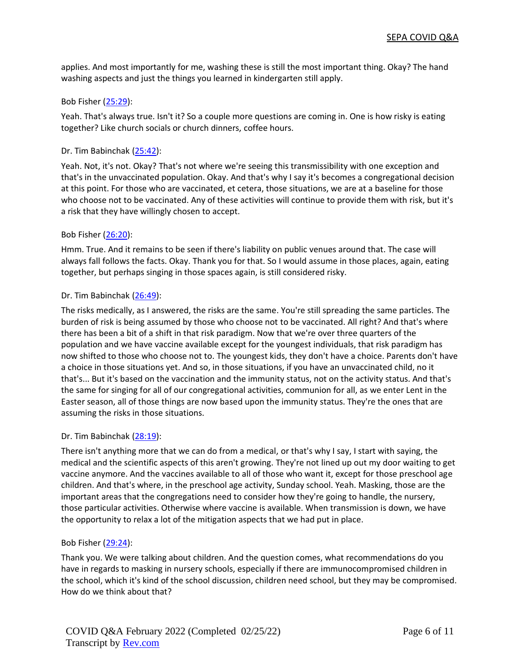applies. And most importantly for me, washing these is still the most important thing. Okay? The hand washing aspects and just the things you learned in kindergarten still apply.

## Bob Fisher [\(25:29\)](https://www.rev.com/transcript-editor/Edit?token=6zSyECTVKFziDYCIa19o5mAOkC8E3SkVKDE0In-gNmyOwnKbf-hP6v6DsXOCvOSMXbCQ0nKncDx0DWNOfwZ6d2TeplI&loadFrom=DocumentDeeplink&ts=1529.84):

Yeah. That's always true. Isn't it? So a couple more questions are coming in. One is how risky is eating together? Like church socials or church dinners, coffee hours.

## Dr. Tim Babinchak [\(25:42\)](https://www.rev.com/transcript-editor/Edit?token=9fk5kJT6AlKk08bxgDBjcU5MJNORa_EbVR6ly8MHO-CNNWdsN9krUbL2NxAU9YHlP-OpSTtulHR4v-_dCmpxONeQxpQ&loadFrom=DocumentDeeplink&ts=1542.66):

Yeah. Not, it's not. Okay? That's not where we're seeing this transmissibility with one exception and that's in the unvaccinated population. Okay. And that's why I say it's becomes a congregational decision at this point. For those who are vaccinated, et cetera, those situations, we are at a baseline for those who choose not to be vaccinated. Any of these activities will continue to provide them with risk, but it's a risk that they have willingly chosen to accept.

## Bob Fisher [\(26:20\)](https://www.rev.com/transcript-editor/Edit?token=2VaJDOvXEFg75KhO8YB37pxMpC8Xd90LwJpUpBu2-bthzQdRM1Y4lBawsASRIcfrj9yJl9PIXwGUyD-8DCGd47vCMRk&loadFrom=DocumentDeeplink&ts=1580.95):

Hmm. True. And it remains to be seen if there's liability on public venues around that. The case will always fall follows the facts. Okay. Thank you for that. So I would assume in those places, again, eating together, but perhaps singing in those spaces again, is still considered risky.

## Dr. Tim Babinchak [\(26:49\)](https://www.rev.com/transcript-editor/Edit?token=U1Zg3ub01lHowKDIWlnZcOis3XpOXUC3xY_7Gexc8b98vFQj70iYifPqoR0xdLDiH0d_Jif3OJqtIFKqM7xFIbLVpIA&loadFrom=DocumentDeeplink&ts=1609.91):

The risks medically, as I answered, the risks are the same. You're still spreading the same particles. The burden of risk is being assumed by those who choose not to be vaccinated. All right? And that's where there has been a bit of a shift in that risk paradigm. Now that we're over three quarters of the population and we have vaccine available except for the youngest individuals, that risk paradigm has now shifted to those who choose not to. The youngest kids, they don't have a choice. Parents don't have a choice in those situations yet. And so, in those situations, if you have an unvaccinated child, no it that's... But it's based on the vaccination and the immunity status, not on the activity status. And that's the same for singing for all of our congregational activities, communion for all, as we enter Lent in the Easter season, all of those things are now based upon the immunity status. They're the ones that are assuming the risks in those situations.

# Dr. Tim Babinchak [\(28:19\)](https://www.rev.com/transcript-editor/Edit?token=TbNtaGDTwbdwwNROOKVVNGru5jxUbLvZ33-exi3l2OSKqoT_Z3NgrEvZWbrC9CQf-bSzffzSRv4pd9HGiYGcEC4_OGo&loadFrom=DocumentDeeplink&ts=1699.45):

There isn't anything more that we can do from a medical, or that's why I say, I start with saying, the medical and the scientific aspects of this aren't growing. They're not lined up out my door waiting to get vaccine anymore. And the vaccines available to all of those who want it, except for those preschool age children. And that's where, in the preschool age activity, Sunday school. Yeah. Masking, those are the important areas that the congregations need to consider how they're going to handle, the nursery, those particular activities. Otherwise where vaccine is available. When transmission is down, we have the opportunity to relax a lot of the mitigation aspects that we had put in place.

#### Bob Fisher [\(29:24\)](https://www.rev.com/transcript-editor/Edit?token=yOyX2WBejlEZqnOOQ6fC7gD9IAOxxRw5JP6cw_3FX_nMakf5HYC-sI4Bbu0XNUlAoAs6NkKcYGNdr4hj3PEhYJcuWWE&loadFrom=DocumentDeeplink&ts=1764.39):

Thank you. We were talking about children. And the question comes, what recommendations do you have in regards to masking in nursery schools, especially if there are immunocompromised children in the school, which it's kind of the school discussion, children need school, but they may be compromised. How do we think about that?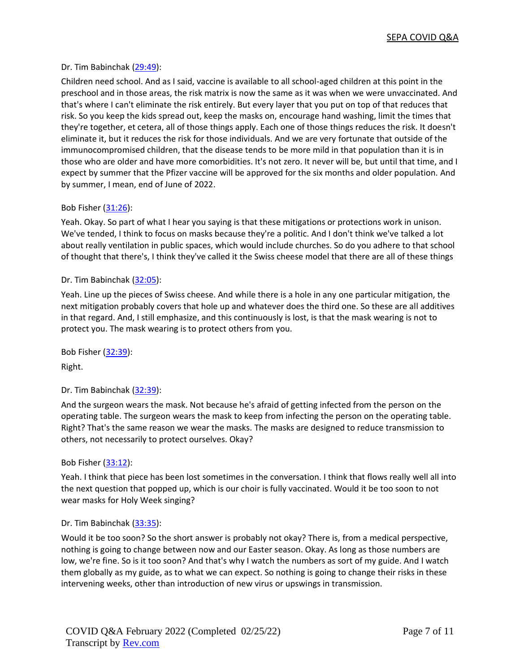## Dr. Tim Babinchak [\(29:49\)](https://www.rev.com/transcript-editor/Edit?token=koLlyJKU1LLdYTlxyw-PljD79mOL-A2qPo7sLExKmtuHwyCADM4doHXWDBpj5CR1Xc-M6ct751tI_PVmXRuGOB8nNqw&loadFrom=DocumentDeeplink&ts=1789.53):

Children need school. And as I said, vaccine is available to all school-aged children at this point in the preschool and in those areas, the risk matrix is now the same as it was when we were unvaccinated. And that's where I can't eliminate the risk entirely. But every layer that you put on top of that reduces that risk. So you keep the kids spread out, keep the masks on, encourage hand washing, limit the times that they're together, et cetera, all of those things apply. Each one of those things reduces the risk. It doesn't eliminate it, but it reduces the risk for those individuals. And we are very fortunate that outside of the immunocompromised children, that the disease tends to be more mild in that population than it is in those who are older and have more comorbidities. It's not zero. It never will be, but until that time, and I expect by summer that the Pfizer vaccine will be approved for the six months and older population. And by summer, I mean, end of June of 2022.

## Bob Fisher [\(31:26\)](https://www.rev.com/transcript-editor/Edit?token=EG6GV20BgEbLEDpWWN-nayTp3W3bNosz_G6DXnUGcsZAicF5jg7Nzhpr4DM2UbcQjFF_iXpHPqrZUJ0mQ7FTD4qDkjs&loadFrom=DocumentDeeplink&ts=1886.41):

Yeah. Okay. So part of what I hear you saying is that these mitigations or protections work in unison. We've tended, I think to focus on masks because they're a politic. And I don't think we've talked a lot about really ventilation in public spaces, which would include churches. So do you adhere to that school of thought that there's, I think they've called it the Swiss cheese model that there are all of these things

## Dr. Tim Babinchak [\(32:05\)](https://www.rev.com/transcript-editor/Edit?token=tkX6k1NxwIkie5bn1oT90a7pCpLU-FSU3QoNEfdTrfjt0BRO34Qm8NcZ7H5FSEkE5AjEg7--fkB4MDu3kzCtqiOjZnI&loadFrom=DocumentDeeplink&ts=1925.85):

Yeah. Line up the pieces of Swiss cheese. And while there is a hole in any one particular mitigation, the next mitigation probably covers that hole up and whatever does the third one. So these are all additives in that regard. And, I still emphasize, and this continuously is lost, is that the mask wearing is not to protect you. The mask wearing is to protect others from you.

Bob Fisher [\(32:39\)](https://www.rev.com/transcript-editor/Edit?token=OmnV0OGfpOsE6VO9qt4W7rRMJnGaVbUF1u4sDPZqdDktWLlAB3G2-6X2GcSqjvB3n9TjgJWU7QCca1gJ_t58G7wqlAE&loadFrom=DocumentDeeplink&ts=1959.28):

Right.

#### Dr. Tim Babinchak [\(32:39\)](https://www.rev.com/transcript-editor/Edit?token=y_bqDaCH93uPKsl_zVFwbMUpp4dKlv3ll5i-y73uPG37KNmfZiu1l9b3x8Hz9X6xbf8Q4ALGYpt-0-FhmtVgkmEkWlM&loadFrom=DocumentDeeplink&ts=1959.63):

And the surgeon wears the mask. Not because he's afraid of getting infected from the person on the operating table. The surgeon wears the mask to keep from infecting the person on the operating table. Right? That's the same reason we wear the masks. The masks are designed to reduce transmission to others, not necessarily to protect ourselves. Okay?

#### Bob Fisher [\(33:12\)](https://www.rev.com/transcript-editor/Edit?token=rnF3h44x1JNlPzY95ZTjb-ui0Ak-cMuzIzFMWbKDczn4W3BKWSX0KXqRTLUIXnKLirrLdMlTjJIZPrc2T1OmTVlmyVY&loadFrom=DocumentDeeplink&ts=1992.92):

Yeah. I think that piece has been lost sometimes in the conversation. I think that flows really well all into the next question that popped up, which is our choir is fully vaccinated. Would it be too soon to not wear masks for Holy Week singing?

#### Dr. Tim Babinchak [\(33:35\)](https://www.rev.com/transcript-editor/Edit?token=3hiUz-A_pCD2ygMuAv0qgDmyFkv-uCzySapH9X3nydY1TjMXjvTL2LMI9mzza_PPAEnSCvt-SFq0-rgKF35Z_iZWo1I&loadFrom=DocumentDeeplink&ts=2015.75):

Would it be too soon? So the short answer is probably not okay? There is, from a medical perspective, nothing is going to change between now and our Easter season. Okay. As long as those numbers are low, we're fine. So is it too soon? And that's why I watch the numbers as sort of my guide. And I watch them globally as my guide, as to what we can expect. So nothing is going to change their risks in these intervening weeks, other than introduction of new virus or upswings in transmission.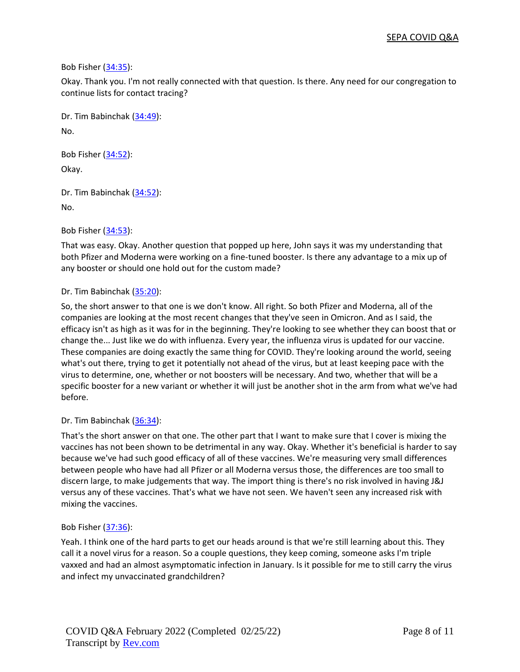Bob Fisher [\(34:35\)](https://www.rev.com/transcript-editor/Edit?token=uP-KDSybeYvb0mCPq-7So7_3eE6naul_c9fjjrMlZN-XlvB9swfaZF9YWXleK9yChNZFwX8_fIEdZuPfFC6eMDk-lS8&loadFrom=DocumentDeeplink&ts=2075.73):

Okay. Thank you. I'm not really connected with that question. Is there. Any need for our congregation to continue lists for contact tracing?

Dr. Tim Babinchak [\(34:49\)](https://www.rev.com/transcript-editor/Edit?token=Wz0IdVXCL4ZF3Jqd9wkUoMW8cHayaWCbQfBOyZx4_VQuXJkoriFKLIsv9ERdGJPyWKpfyK_Hc-J6-9v8e73ktDW3oGE&loadFrom=DocumentDeeplink&ts=2089.47): No.

Bob Fisher [\(34:52\)](https://www.rev.com/transcript-editor/Edit?token=0tHPrj4zQJHTPuYFhWv2rEDyGxLbURpCfoGYrlL4y2hByQIIBnRMfC5NOkEbPIZhb9IyxHgHZPtDqKdAh-jtvVMOsJI&loadFrom=DocumentDeeplink&ts=2092.5):

Okay.

Dr. Tim Babinchak [\(34:52\)](https://www.rev.com/transcript-editor/Edit?token=8yTfH668ruPgO5Z0oYzTxD-nZWnj3LpoWyU8deV-bOe49KUQdOy0AO9btbNLpRh_8b4S4nWV8VIUiIdffpHMnws6d3A&loadFrom=DocumentDeeplink&ts=2092.99): No.

Bob Fisher [\(34:53\)](https://www.rev.com/transcript-editor/Edit?token=lMFOvScyWmAmi1_O-BOLN3Ai0-NcY0NQZ22WJ9OQeILEUKbUz29iYpY1L-Nh9GNdcOhl2J6MgXIt8MfDvj3KqGuLIvQ&loadFrom=DocumentDeeplink&ts=2093.25):

That was easy. Okay. Another question that popped up here, John says it was my understanding that both Pfizer and Moderna were working on a fine-tuned booster. Is there any advantage to a mix up of any booster or should one hold out for the custom made?

# Dr. Tim Babinchak [\(35:20\)](https://www.rev.com/transcript-editor/Edit?token=0uLN3Ic_HnvfT1LqStu2WxibtiQmqj2IrviBRP55siy7N_5NHtDCg-U-adwBXueWyyrAUuAQkD9qHbEiiCn8vFzEqfY&loadFrom=DocumentDeeplink&ts=2120.05):

So, the short answer to that one is we don't know. All right. So both Pfizer and Moderna, all of the companies are looking at the most recent changes that they've seen in Omicron. And as I said, the efficacy isn't as high as it was for in the beginning. They're looking to see whether they can boost that or change the... Just like we do with influenza. Every year, the influenza virus is updated for our vaccine. These companies are doing exactly the same thing for COVID. They're looking around the world, seeing what's out there, trying to get it potentially not ahead of the virus, but at least keeping pace with the virus to determine, one, whether or not boosters will be necessary. And two, whether that will be a specific booster for a new variant or whether it will just be another shot in the arm from what we've had before.

# Dr. Tim Babinchak [\(36:34\)](https://www.rev.com/transcript-editor/Edit?token=KORnb5malGE3PWDuOOUkaR9n90Mt0qy7ZqZHiDRO4AZlcDVxFBaS9QzoQeu9J9Mft30B8Czdm0RNukCV95swz40B558&loadFrom=DocumentDeeplink&ts=2194.15):

That's the short answer on that one. The other part that I want to make sure that I cover is mixing the vaccines has not been shown to be detrimental in any way. Okay. Whether it's beneficial is harder to say because we've had such good efficacy of all of these vaccines. We're measuring very small differences between people who have had all Pfizer or all Moderna versus those, the differences are too small to discern large, to make judgements that way. The import thing is there's no risk involved in having J&J versus any of these vaccines. That's what we have not seen. We haven't seen any increased risk with mixing the vaccines.

# Bob Fisher [\(37:36\)](https://www.rev.com/transcript-editor/Edit?token=yKQFpITfK2F3RJSqZO7n_ijxzYStuTRlQX1sKVxJ-JrgPjziVeA6n31gM9kdrl5ebVd1uHqHNrvLQogqL1ZWIV87uxs&loadFrom=DocumentDeeplink&ts=2256.31):

Yeah. I think one of the hard parts to get our heads around is that we're still learning about this. They call it a novel virus for a reason. So a couple questions, they keep coming, someone asks I'm triple vaxxed and had an almost asymptomatic infection in January. Is it possible for me to still carry the virus and infect my unvaccinated grandchildren?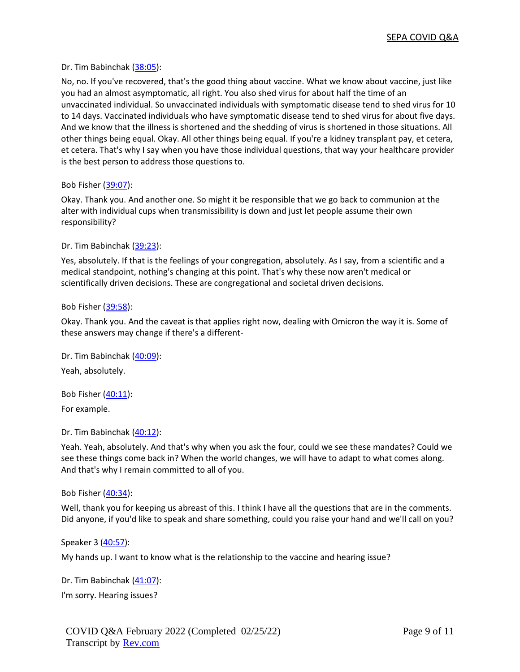## Dr. Tim Babinchak [\(38:05\)](https://www.rev.com/transcript-editor/Edit?token=HcekgqoJTkwMQ4YOGNPk6ij2W51A7o5FiqPP5zreQXLRpX4mKCYSs0Y_4euuEqvGCOd5yFb-rl5en8gk4_w6Bz5ujSM&loadFrom=DocumentDeeplink&ts=2285):

No, no. If you've recovered, that's the good thing about vaccine. What we know about vaccine, just like you had an almost asymptomatic, all right. You also shed virus for about half the time of an unvaccinated individual. So unvaccinated individuals with symptomatic disease tend to shed virus for 10 to 14 days. Vaccinated individuals who have symptomatic disease tend to shed virus for about five days. And we know that the illness is shortened and the shedding of virus is shortened in those situations. All other things being equal. Okay. All other things being equal. If you're a kidney transplant pay, et cetera, et cetera. That's why I say when you have those individual questions, that way your healthcare provider is the best person to address those questions to.

Bob Fisher [\(39:07\)](https://www.rev.com/transcript-editor/Edit?token=GNJMFwLjXR46oimpK1xIA_VYWpo57ucQiBZ9l7QbDXrDzHkYDuJpdbb8nsvAq9CAwWr2uZYhwLOAWsQLH9zd08EzWaQ&loadFrom=DocumentDeeplink&ts=2347.18):

Okay. Thank you. And another one. So might it be responsible that we go back to communion at the alter with individual cups when transmissibility is down and just let people assume their own responsibility?

## Dr. Tim Babinchak [\(39:23\)](https://www.rev.com/transcript-editor/Edit?token=S6NH3R4zdY0R8s4PI8keg9fpa_YKTLk58t8vGGbCM_N_QngAHHP6RgumfBnBHkYzmSD9ZwJCorsKdBVYeqvwP8lZ8Z4&loadFrom=DocumentDeeplink&ts=2363.35):

Yes, absolutely. If that is the feelings of your congregation, absolutely. As I say, from a scientific and a medical standpoint, nothing's changing at this point. That's why these now aren't medical or scientifically driven decisions. These are congregational and societal driven decisions.

#### Bob Fisher [\(39:58\)](https://www.rev.com/transcript-editor/Edit?token=Zt4sj2jXrEtaoDrMTtKbmbh1A1sXimc5AzgkmkkkITZZxwdf69bIs3t4NJVLi9o-5cI2S4xY3ONr25t4wtalHO6Sbv4&loadFrom=DocumentDeeplink&ts=2398.63):

Okay. Thank you. And the caveat is that applies right now, dealing with Omicron the way it is. Some of these answers may change if there's a different-

Dr. Tim Babinchak [\(40:09\)](https://www.rev.com/transcript-editor/Edit?token=_Ns6-ayXyTYTGgPFRqw9PjvOgWfWU5rc-CE8dIYEnuw1nolrxfxZNL4joVpor4ZsBju5fZTnD5g-MWyxUGDBtQgMeZo&loadFrom=DocumentDeeplink&ts=2409.78): Yeah, absolutely.

Bob Fisher [\(40:11\)](https://www.rev.com/transcript-editor/Edit?token=8JrAmqK8xPkEPKBc2mGb4rZxLqUTs1ciHdir2Cy7InP5R9rwOBijlzlY4w9CikH71Fs4_gPU6Gq25C6IQCIbP5hFsao&loadFrom=DocumentDeeplink&ts=2411.37):

For example.

Dr. Tim Babinchak [\(40:12\)](https://www.rev.com/transcript-editor/Edit?token=z-gDnttb2cKj6CEapZizcsG3PbShmsaiuyKOei0VYaDxIVvNJ1I9Pemk-Mf4ANqJricGUqJzezYZk3v3XqEid5025yY&loadFrom=DocumentDeeplink&ts=2412.27):

Yeah. Yeah, absolutely. And that's why when you ask the four, could we see these mandates? Could we see these things come back in? When the world changes, we will have to adapt to what comes along. And that's why I remain committed to all of you.

#### Bob Fisher [\(40:34\)](https://www.rev.com/transcript-editor/Edit?token=JM1MJuo4CNpqwi3qYT91Yac2zrQzhjhFtwB_XmmPVWAznzdQQi2VzzsnfSLfchtHzvwMhwaqoxlulxDmXgi0tfyK29s&loadFrom=DocumentDeeplink&ts=2434.83):

Well, thank you for keeping us abreast of this. I think I have all the questions that are in the comments. Did anyone, if you'd like to speak and share something, could you raise your hand and we'll call on you?

Speaker 3 [\(40:57\)](https://www.rev.com/transcript-editor/Edit?token=llkVj7kE6yfCvDrOdJFH-znujM39HOS1aAMnRjKwo_uQ7aJVCqEOGwSKNyGygJSdK6spY81mX5OFn67-M5iT4QEvilI&loadFrom=DocumentDeeplink&ts=2457.06):

My hands up. I want to know what is the relationship to the vaccine and hearing issue?

Dr. Tim Babinchak [\(41:07\)](https://www.rev.com/transcript-editor/Edit?token=-wlheJBKnVavcebNPmgSi8Re7UELlSYd9nDCtlqxSc4mYqSfh1J9gbrZ8_aB8bRkdFdg6yHA2ophn75KsHCdUUo6vuk&loadFrom=DocumentDeeplink&ts=2467.85): I'm sorry. Hearing issues?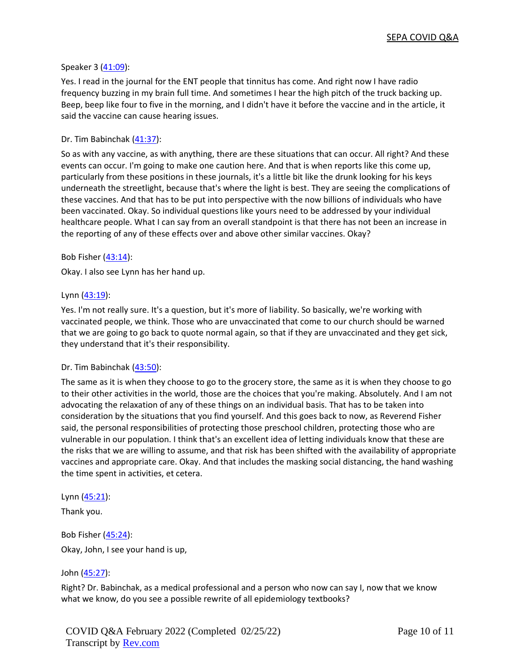## Speaker 3 [\(41:09\)](https://www.rev.com/transcript-editor/Edit?token=xf-fSSgxdAKmcY8UmC5dPNi7VeZUWUbX0LUtX07aYKBZ5yEwNLvWpxkjjNrBAoL46lMwOykmBINoFwfmFCk2ZqMratY&loadFrom=DocumentDeeplink&ts=2469.5):

Yes. I read in the journal for the ENT people that tinnitus has come. And right now I have radio frequency buzzing in my brain full time. And sometimes I hear the high pitch of the truck backing up. Beep, beep like four to five in the morning, and I didn't have it before the vaccine and in the article, it said the vaccine can cause hearing issues.

## Dr. Tim Babinchak [\(41:37\)](https://www.rev.com/transcript-editor/Edit?token=4JClFhykbTJ0l3HwB53bv1jiq4NDiM3ykoxhL9gtrFJgN5COJuqECObQmfOSSVX9PNrGVVkN6XsKMVl4-UCuaWdoh3k&loadFrom=DocumentDeeplink&ts=2497.17):

So as with any vaccine, as with anything, there are these situations that can occur. All right? And these events can occur. I'm going to make one caution here. And that is when reports like this come up, particularly from these positions in these journals, it's a little bit like the drunk looking for his keys underneath the streetlight, because that's where the light is best. They are seeing the complications of these vaccines. And that has to be put into perspective with the now billions of individuals who have been vaccinated. Okay. So individual questions like yours need to be addressed by your individual healthcare people. What I can say from an overall standpoint is that there has not been an increase in the reporting of any of these effects over and above other similar vaccines. Okay?

## Bob Fisher [\(43:14\)](https://www.rev.com/transcript-editor/Edit?token=Cx5V4p_o1_l0RT3kwpIwrLlnhS2Zej3JGth1YDBatM3n1j5GmSopoMJfTHaOdTgtaYETqWQP7fKySM0a_beWRe55tjY&loadFrom=DocumentDeeplink&ts=2594.19):

Okay. I also see Lynn has her hand up.

## Lynn [\(43:19\)](https://www.rev.com/transcript-editor/Edit?token=S3yTR_3b5ZCxGEtgPLp6Eyg3aUI-E717Yo9wSkSp7n0PDaFuS4H0NpinVlUgtvtEMj7Th8fXnI_4CP6KrSm8YH52Zjs&loadFrom=DocumentDeeplink&ts=2599.49):

Yes. I'm not really sure. It's a question, but it's more of liability. So basically, we're working with vaccinated people, we think. Those who are unvaccinated that come to our church should be warned that we are going to go back to quote normal again, so that if they are unvaccinated and they get sick, they understand that it's their responsibility.

#### Dr. Tim Babinchak [\(43:50\)](https://www.rev.com/transcript-editor/Edit?token=GwG5jkURTiECoKO9PIwUWE5BD8_-KuUFFg1dwenHsh-EAzDRaCbGqoD7MDHz0yOs4Tg39NxqhVvOEsXBtXYHD1OG6dE&loadFrom=DocumentDeeplink&ts=2630.55):

The same as it is when they choose to go to the grocery store, the same as it is when they choose to go to their other activities in the world, those are the choices that you're making. Absolutely. And I am not advocating the relaxation of any of these things on an individual basis. That has to be taken into consideration by the situations that you find yourself. And this goes back to now, as Reverend Fisher said, the personal responsibilities of protecting those preschool children, protecting those who are vulnerable in our population. I think that's an excellent idea of letting individuals know that these are the risks that we are willing to assume, and that risk has been shifted with the availability of appropriate vaccines and appropriate care. Okay. And that includes the masking social distancing, the hand washing the time spent in activities, et cetera.

#### Lynn [\(45:21\)](https://www.rev.com/transcript-editor/Edit?token=FKSGxFYJ4nTem22ibqLbWGnJo-t40PU8W6J-KmrRf10vCw492BCZWJ79SKuVFxhZKOKM6rE7UC24ci2phTZeVG8a1Uo&loadFrom=DocumentDeeplink&ts=2721.85):

Thank you.

Bob Fisher [\(45:24\)](https://www.rev.com/transcript-editor/Edit?token=rO0RQbBLNyzN_L2p9l7K_DEI2bXPZZT0OYs5TYNy5ygfVUfv6RydIUOHGWk7XUHrZh6fqZc6l8CZIETxe6Ar66kK22M&loadFrom=DocumentDeeplink&ts=2724.37): Okay, John, I see your hand is up,

# John [\(45:27\)](https://www.rev.com/transcript-editor/Edit?token=7pEEsASsgYrVa8KjoIqr6_rMHtSiHZKX9k4ZMPDq_FYlVxBqzir22Hu_BKj0qVlJxOGqy5NxKbFVnHhQwOc6x73iuVc&loadFrom=DocumentDeeplink&ts=2727.01):

Right? Dr. Babinchak, as a medical professional and a person who now can say I, now that we know what we know, do you see a possible rewrite of all epidemiology textbooks?